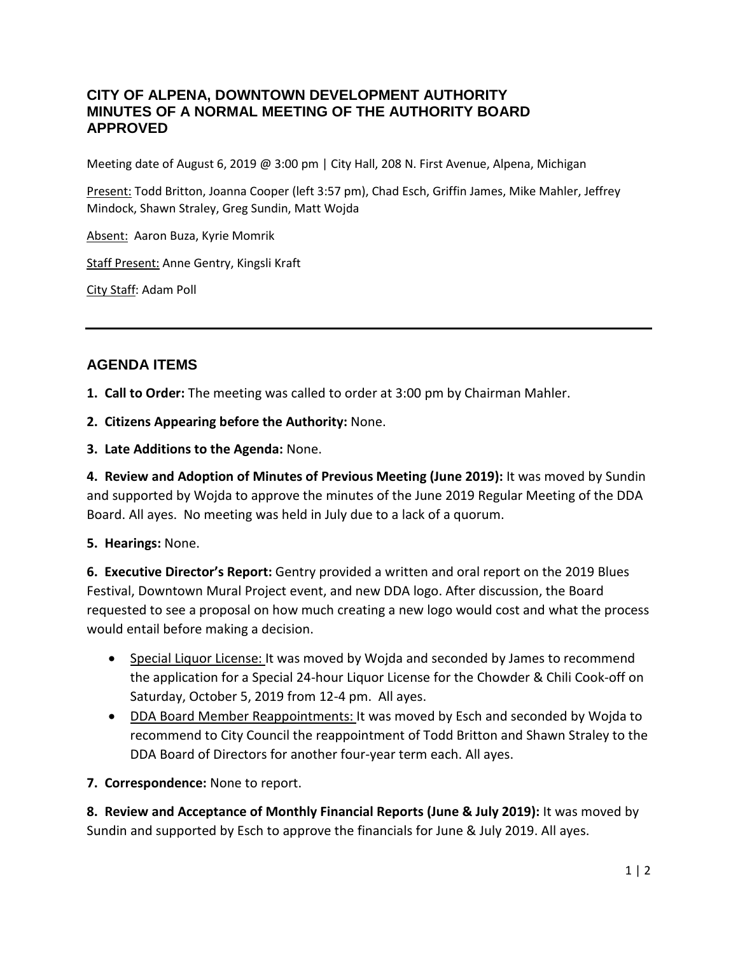## **CITY OF ALPENA, DOWNTOWN DEVELOPMENT AUTHORITY MINUTES OF A NORMAL MEETING OF THE AUTHORITY BOARD APPROVED**

Meeting date of August 6, 2019 @ 3:00 pm | City Hall, 208 N. First Avenue, Alpena, Michigan

Present: Todd Britton, Joanna Cooper (left 3:57 pm), Chad Esch, Griffin James, Mike Mahler, Jeffrey Mindock, Shawn Straley, Greg Sundin, Matt Wojda

Absent: Aaron Buza, Kyrie Momrik

Staff Present: Anne Gentry, Kingsli Kraft

City Staff: Adam Poll

# **AGENDA ITEMS**

**1. Call to Order:** The meeting was called to order at 3:00 pm by Chairman Mahler.

- **2. Citizens Appearing before the Authority:** None.
- **3. Late Additions to the Agenda:** None.

**4. Review and Adoption of Minutes of Previous Meeting (June 2019):** It was moved by Sundin and supported by Wojda to approve the minutes of the June 2019 Regular Meeting of the DDA Board. All ayes. No meeting was held in July due to a lack of a quorum.

#### **5. Hearings:** None.

**6. Executive Director's Report:** Gentry provided a written and oral report on the 2019 Blues Festival, Downtown Mural Project event, and new DDA logo. After discussion, the Board requested to see a proposal on how much creating a new logo would cost and what the process would entail before making a decision.

- Special Liquor License: It was moved by Wojda and seconded by James to recommend the application for a Special 24-hour Liquor License for the Chowder & Chili Cook-off on Saturday, October 5, 2019 from 12-4 pm. All ayes.
- DDA Board Member Reappointments: It was moved by Esch and seconded by Wojda to recommend to City Council the reappointment of Todd Britton and Shawn Straley to the DDA Board of Directors for another four-year term each. All ayes.
- **7. Correspondence:** None to report.

**8. Review and Acceptance of Monthly Financial Reports (June & July 2019):** It was moved by Sundin and supported by Esch to approve the financials for June & July 2019. All ayes.